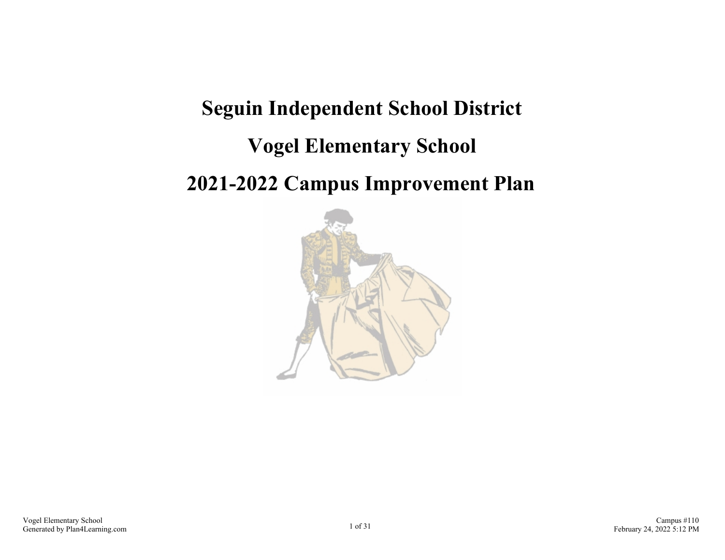# **Seguin Independent School District Vogel Elementary School 2021-2022 Campus Improvement Plan**

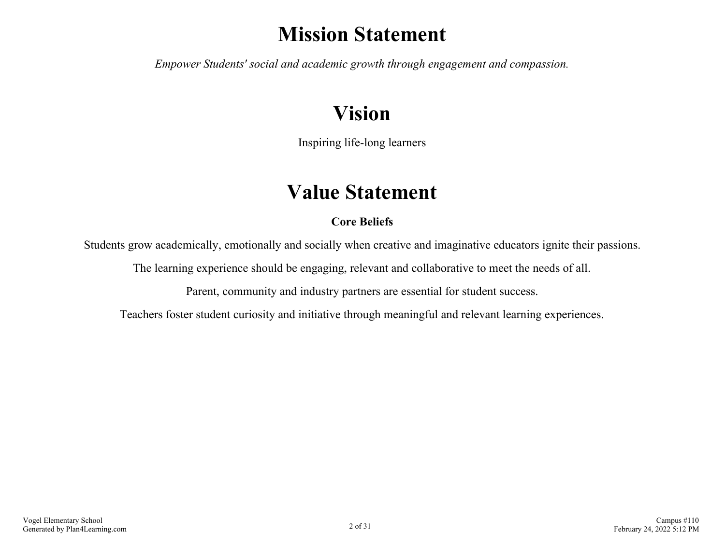## **Mission Statement**

*Empower Students' social and academic growth through engagement and compassion.*

## **Vision**

Inspiring life-long learners

## **Value Statement**

## **Core Beliefs**

Students grow academically, emotionally and socially when creative and imaginative educators ignite their passions.

The learning experience should be engaging, relevant and collaborative to meet the needs of all.

Parent, community and industry partners are essential for student success.

Teachers foster student curiosity and initiative through meaningful and relevant learning experiences.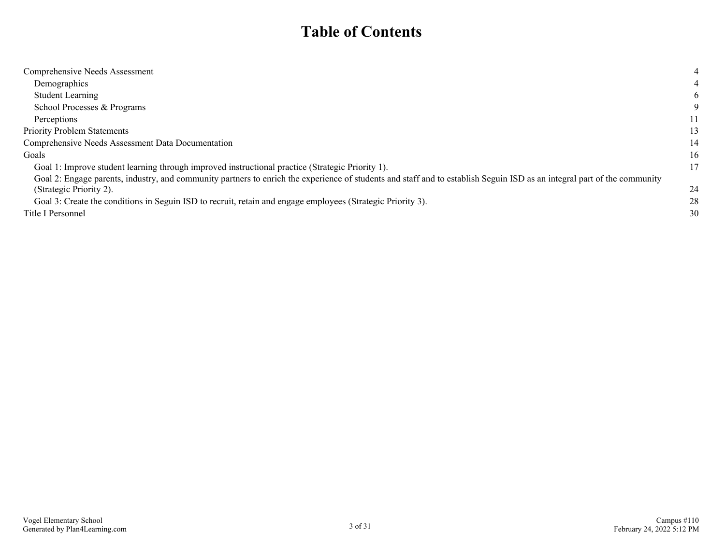## **Table of Contents**

| Comprehensive Needs Assessment                                                                                                                                           | 4  |
|--------------------------------------------------------------------------------------------------------------------------------------------------------------------------|----|
| Demographics                                                                                                                                                             |    |
| <b>Student Learning</b>                                                                                                                                                  | 6  |
| School Processes & Programs                                                                                                                                              |    |
| Perceptions                                                                                                                                                              | 11 |
| <b>Priority Problem Statements</b>                                                                                                                                       | 13 |
| Comprehensive Needs Assessment Data Documentation                                                                                                                        | 14 |
| Goals                                                                                                                                                                    | 16 |
| Goal 1: Improve student learning through improved instructional practice (Strategic Priority 1).                                                                         | 17 |
| Goal 2: Engage parents, industry, and community partners to enrich the experience of students and staff and to establish Seguin ISD as an integral part of the community |    |
| (Strategic Priority 2).                                                                                                                                                  | 24 |
| Goal 3: Create the conditions in Seguin ISD to recruit, retain and engage employees (Strategic Priority 3).                                                              | 28 |
| Title I Personnel                                                                                                                                                        | 30 |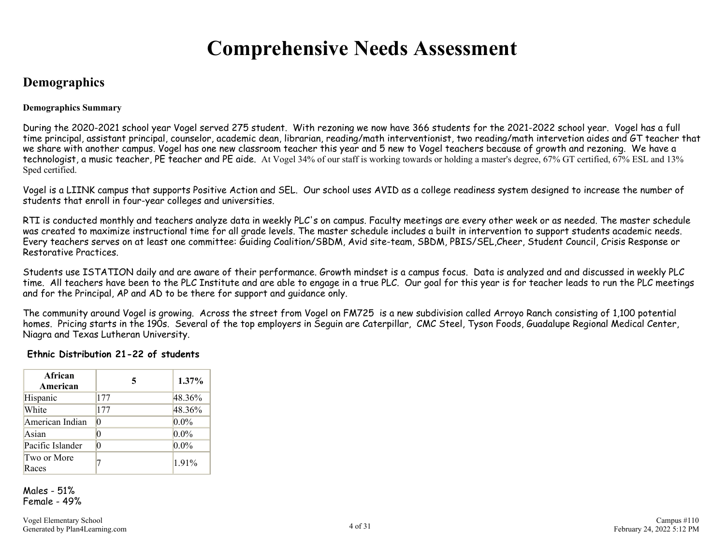## **Comprehensive Needs Assessment**

## <span id="page-3-0"></span>**Demographics**

### **Demographics Summary**

During the 2020-2021 school year Vogel served 275 student. With rezoning we now have 366 students for the 2021-2022 school year. Vogel has a full time principal, assistant principal, counselor, academic dean, librarian, reading/math interventionist, two reading/math intervetion aides and GT teacher that we share with another campus. Vogel has one new classroom teacher this year and 5 new to Vogel teachers because of growth and rezoning. We have a technologist, a music teacher, PE teacher and PE aide. At Vogel 34% of our staff is working towards or holding a master's degree, 67% GT certified, 67% ESL and 13% Sped certified.

Vogel is a LIINK campus that supports Positive Action and SEL. Our school uses AVID as a college readiness system designed to increase the number of students that enroll in four-year colleges and universities.

RTI is conducted monthly and teachers analyze data in weekly PLC's on campus. Faculty meetings are every other week or as needed. The master schedule was created to maximize instructional time for all grade levels. The master schedule includes a built in intervention to support students academic needs. Every teachers serves on at least one committee: Guiding Coalition/SBDM, Avid site-team, SBDM, PBIS/SEL,Cheer, Student Council, Crisis Response or Restorative Practices.

Students use ISTATION daily and are aware of their performance. Growth mindset is a campus focus. Data is analyzed and and discussed in weekly PLC time. All teachers have been to the PLC Institute and are able to engage in a true PLC. Our goal for this year is for teacher leads to run the PLC meetings and for the Principal, AP and AD to be there for support and guidance only.

The community around Vogel is growing. Across the street from Vogel on FM725 is a new subdivision called Arroyo Ranch consisting of 1,100 potential homes. Pricing starts in the 190s. Several of the top employers in Seguin are Caterpillar, CMC Steel, Tyson Foods, Guadalupe Regional Medical Center, Niagra and Texas Lutheran University.

## **Ethnic Distribution 21-22 of students**

| African<br>American  | 5        | 1.37%   |
|----------------------|----------|---------|
| Hispanic             | 177      | 48.36%  |
| White                | 177      | 48.36%  |
| American Indian      | 0        | $0.0\%$ |
| Asian                | 0        | $0.0\%$ |
| Pacific Islander     | $\Omega$ | $0.0\%$ |
| Two or More<br>Races |          | 1.91%   |

Males - 51% Female - 49%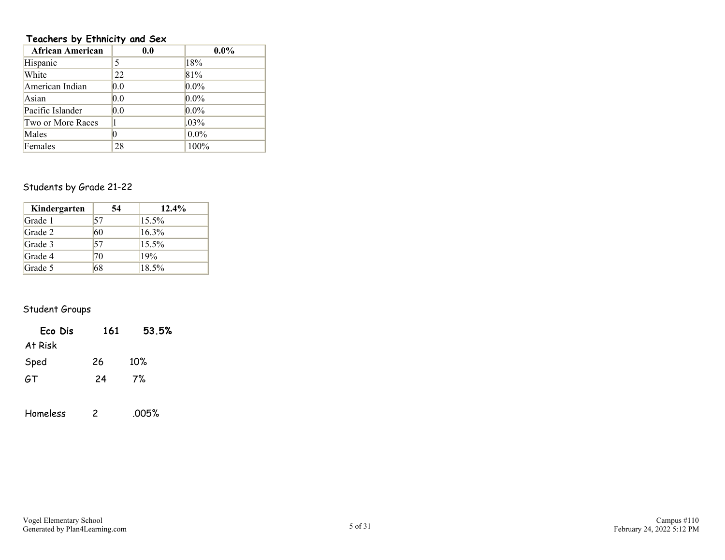## **Teachers by Ethnicity and Sex**

| <b>African American</b> | 0.0 | $0.0\%$ |
|-------------------------|-----|---------|
| Hispanic                | 5   | 18%     |
| White                   | 22  | 81%     |
| American Indian         | 0.0 | $0.0\%$ |
| Asian                   | 0.0 | $0.0\%$ |
| Pacific Islander        | 0.0 | $0.0\%$ |
| Two or More Races       |     | $.03\%$ |
| Males                   | 0   | $0.0\%$ |
| Females                 | 28  | 100%    |

## Students by Grade 21-22

| Kindergarten | 54 | $12.4\%$ |
|--------------|----|----------|
| Grade 1      | 57 | $15.5\%$ |
| Grade 2      | 60 | 16.3%    |
| Grade 3      | 57 | 15.5%    |
| Grade 4      | 70 | 19%      |
| Grade 5      | 68 | 18.5%    |

## Student Groups

| Eco Dis  | 161 | 53.5% |
|----------|-----|-------|
| At Risk  |     |       |
| Sped     | 26  | 10%   |
| 6T       | 24  | 7%    |
|          |     |       |
| Homeless | 2   | .005% |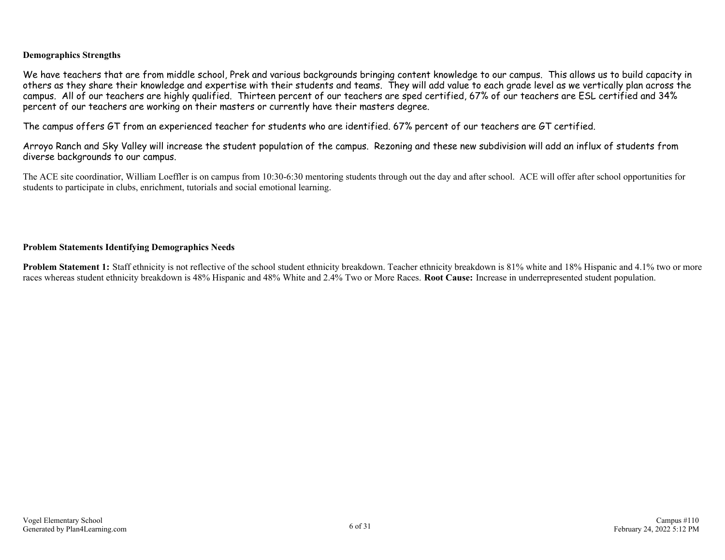## **Demographics Strengths**

We have teachers that are from middle school, Prek and various backgrounds bringing content knowledge to our campus. This allows us to build capacity in others as they share their knowledge and expertise with their students and teams. They will add value to each grade level as we vertically plan across the campus. All of our teachers are highly qualified. Thirteen percent of our teachers are sped certified, 67% of our teachers are ESL certified and 34% percent of our teachers are working on their masters or currently have their masters degree.

The campus offers GT from an experienced teacher for students who are identified. 67% percent of our teachers are GT certified.

Arroyo Ranch and Sky Valley will increase the student population of the campus. Rezoning and these new subdivision will add an influx of students from diverse backgrounds to our campus.

The ACE site coordinatior, William Loeffler is on campus from 10:30-6:30 mentoring students through out the day and after school. ACE will offer after school opportunities for students to participate in clubs, enrichment, tutorials and social emotional learning.

### **Problem Statements Identifying Demographics Needs**

**Problem Statement 1:** Staff ethnicity is not reflective of the school student ethnicity breakdown. Teacher ethnicity breakdown is 81% white and 18% Hispanic and 4.1% two or more races whereas student ethnicity breakdown is 48% Hispanic and 48% White and 2.4% Two or More Races. **Root Cause:** Increase in underrepresented student population.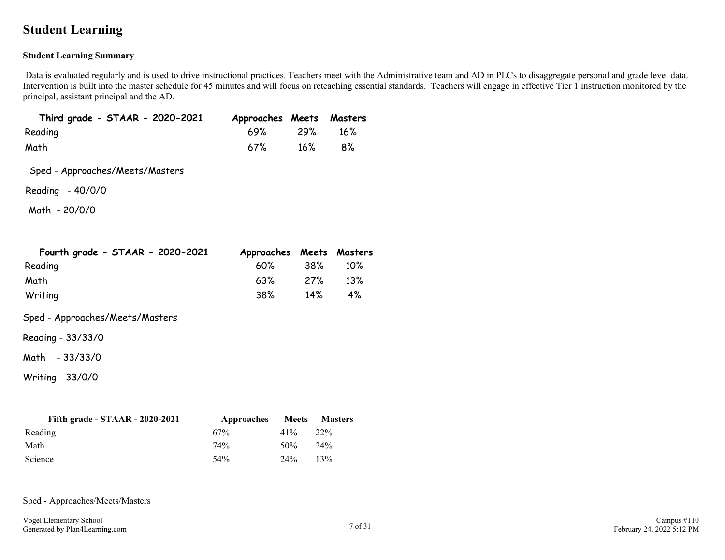## <span id="page-6-0"></span>**Student Learning**

## **Student Learning Summary**

Data is evaluated regularly and is used to drive instructional practices. Teachers meet with the Administrative team and AD in PLCs to disaggregate personal and grade level data. Intervention is built into the master schedule for 45 minutes and will focus on reteaching essential standards. Teachers will engage in effective Tier 1 instruction monitored by the principal, assistant principal and the AD.

| Third grade - STAAR - 2020-2021 | Approaches Meets Masters |           |
|---------------------------------|--------------------------|-----------|
| Reading                         | 69% 29% 16%              |           |
| Math                            | 67%                      | $16\%$ 8% |

Sped - Approaches/Meets/Masters

Reading - 40/0/0

Math - 20/0/0

| Fourth grade - STAAR - 2020-2021 | Approaches Meets Masters |     |        |
|----------------------------------|--------------------------|-----|--------|
| Reading                          | 60%                      | 38% | $10\%$ |
| Math                             | 63%                      | 27% | $13\%$ |
| Writing                          | 38%                      | 14% | 4%     |

Sped - Approaches/Meets/Masters

Reading - 33/33/0

Math - 33/33/0

Writing - 33/0/0

| Fifth grade - $STAAR - 2020-2021$ | Approaches | Meets  | <b>Masters</b> |
|-----------------------------------|------------|--------|----------------|
| Reading                           | 67%        | $41\%$ | 22%            |
| Math                              | 74%        | 50%    | 24%            |
| Science                           | 54%        | 24%    | 13%            |

Sped - Approaches/Meets/Masters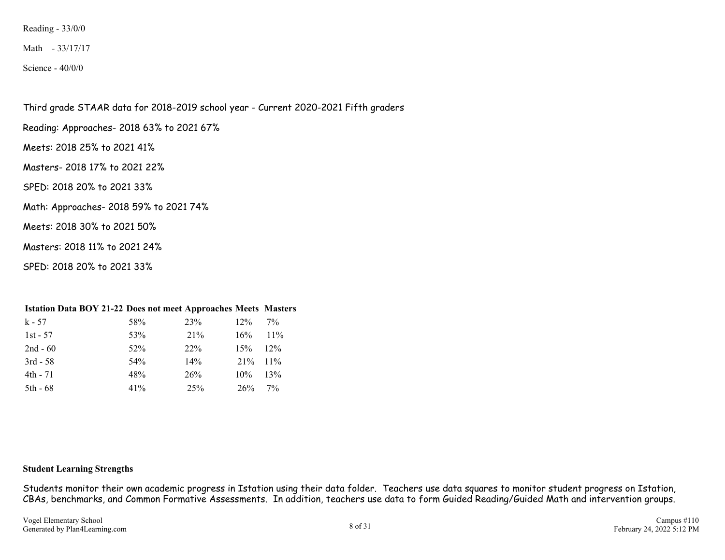Reading - 33/0/0

Math - 33/17/17

Science - 40/0/0

Third grade STAAR data for 2018-2019 school year - Current 2020-2021 Fifth graders

Reading: Approaches- 2018 63% to 2021 67%

Meets: 2018 25% to 2021 41%

Masters- 2018 17% to 2021 22%

SPED: 2018 20% to 2021 33%

Math: Approaches- 2018 59% to 2021 74%

Meets: 2018 30% to 2021 50%

Masters: 2018 11% to 2021 24%

SPED: 2018 20% to 2021 33%

| <b>Istation Data BOY 21-22 Does not meet Approaches Meets Masters</b> |     |     |        |        |
|-----------------------------------------------------------------------|-----|-----|--------|--------|
| $k - 57$                                                              | 58% | 23% | $12\%$ | $7\%$  |
| $1st - 57$                                                            | 53% | 21% | 16%    | $11\%$ |
| $2nd - 60$                                                            | 52% | 22% | 15%    | 12%    |
| $3rd - 58$                                                            | 54% | 14% | 21%    | $11\%$ |
| 4th - 71                                                              | 48% | 26% | 10%    | 13%    |
| $5th - 68$                                                            | 41% | 25% | 26%    | $7\%$  |

#### **Student Learning Strengths**

Students monitor their own academic progress in Istation using their data folder. Teachers use data squares to monitor student progress on Istation, CBAs, benchmarks, and Common Formative Assessments. In addition, teachers use data to form Guided Reading/Guided Math and intervention groups.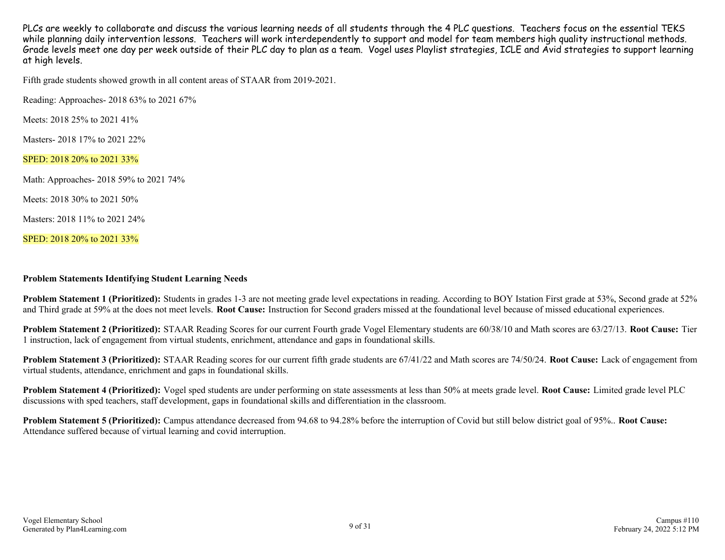PLCs are weekly to collaborate and discuss the various learning needs of all students through the 4 PLC questions. Teachers focus on the essential TEKS while planning daily intervention lessons. Teachers will work interdependently to support and model for team members high quality instructional methods. Grade levels meet one day per week outside of their PLC day to plan as a team. Vogel uses Playlist strategies, ICLE and Avid strategies to support learning at high levels.

Fifth grade students showed growth in all content areas of STAAR from 2019-2021.

Reading: Approaches- 2018 63% to 2021 67%

Meets: 2018 25% to 2021 41%

Masters- 2018 17% to 2021 22%

SPED: 2018 20% to 2021 33%

Math: Approaches- 2018 59% to 2021 74%

Meets: 2018 30% to 2021 50%

Masters: 2018 11% to 2021 24%

SPED: 2018 20% to 2021 33%

#### **Problem Statements Identifying Student Learning Needs**

Problem Statement 1 (Prioritized): Students in grades 1-3 are not meeting grade level expectations in reading. According to BOY Istation First grade at 53%, Second grade at 52% and Third grade at 59% at the does not meet levels. **Root Cause:** Instruction for Second graders missed at the foundational level because of missed educational experiences.

**Problem Statement 2 (Prioritized):** STAAR Reading Scores for our current Fourth grade Vogel Elementary students are 60/38/10 and Math scores are 63/27/13. **Root Cause:** Tier 1 instruction, lack of engagement from virtual students, enrichment, attendance and gaps in foundational skills.

**Problem Statement 3 (Prioritized):** STAAR Reading scores for our current fifth grade students are 67/41/22 and Math scores are 74/50/24. **Root Cause:** Lack of engagement from virtual students, attendance, enrichment and gaps in foundational skills.

**Problem Statement 4 (Prioritized):** Vogel sped students are under performing on state assessments at less than 50% at meets grade level. **Root Cause:** Limited grade level PLC discussions with sped teachers, staff development, gaps in foundational skills and differentiation in the classroom.

**Problem Statement 5 (Prioritized):** Campus attendance decreased from 94.68 to 94.28% before the interruption of Covid but still below district goal of 95%.. **Root Cause:** Attendance suffered because of virtual learning and covid interruption.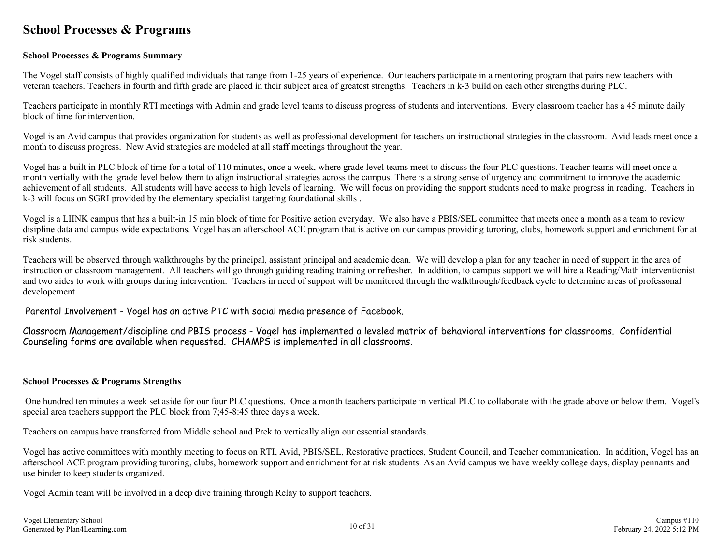## <span id="page-9-0"></span>**School Processes & Programs**

### **School Processes & Programs Summary**

The Vogel staff consists of highly qualified individuals that range from 1-25 years of experience. Our teachers participate in a mentoring program that pairs new teachers with veteran teachers. Teachers in fourth and fifth grade are placed in their subject area of greatest strengths. Teachers in k-3 build on each other strengths during PLC.

Teachers participate in monthly RTI meetings with Admin and grade level teams to discuss progress of students and interventions. Every classroom teacher has a 45 minute daily block of time for intervention.

Vogel is an Avid campus that provides organization for students as well as professional development for teachers on instructional strategies in the classroom. Avid leads meet once a month to discuss progress. New Avid strategies are modeled at all staff meetings throughout the year.

Vogel has a built in PLC block of time for a total of 110 minutes, once a week, where grade level teams meet to discuss the four PLC questions. Teacher teams will meet once a month vertially with the grade level below them to align instructional strategies across the campus. There is a strong sense of urgency and commitment to improve the academic achievement of all students. All students will have access to high levels of learning. We will focus on providing the support students need to make progress in reading. Teachers in k-3 will focus on SGRI provided by the elementary specialist targeting foundational skills .

Vogel is a LIINK campus that has a built-in 15 min block of time for Positive action everyday. We also have a PBIS/SEL committee that meets once a month as a team to review disipline data and campus wide expectations. Vogel has an afterschool ACE program that is active on our campus providing turoring, clubs, homework support and enrichment for at risk students.

Teachers will be observed through walkthroughs by the principal, assistant principal and academic dean. We will develop a plan for any teacher in need of support in the area of instruction or classroom management. All teachers will go through guiding reading training or refresher. In addition, to campus support we will hire a Reading/Math interventionist and two aides to work with groups during intervention.Teachers in need of support will be monitored through the walkthrough/feedback cycle to determine areas of professonal developement

Parental Involvement - Vogel has an active PTC with social media presence of Facebook.

Classroom Management/discipline and PBIS process - Vogel has implemented a leveled matrix of behavioral interventions for classrooms. Confidential Counseling forms are available when requested. CHAMPS is implemented in all classrooms.

#### **School Processes & Programs Strengths**

 One hundred ten minutes a week set aside for our four PLC questions. Once a month teachers participate in vertical PLC to collaborate with the grade above or below them. Vogel's special area teachers suppport the PLC block from 7;45-8:45 three days a week.

Teachers on campus have transferred from Middle school and Prek to vertically align our essential standards.

Vogel has active committees with monthly meeting to focus on RTI, Avid, PBIS/SEL, Restorative practices, Student Council, and Teacher communication. In addition, Vogel has an afterschool ACE program providing turoring, clubs, homework support and enrichment for at risk students. As an Avid campus we have weekly college days, display pennants and use binder to keep students organized.

Vogel Admin team will be involved in a deep dive training through Relay to support teachers.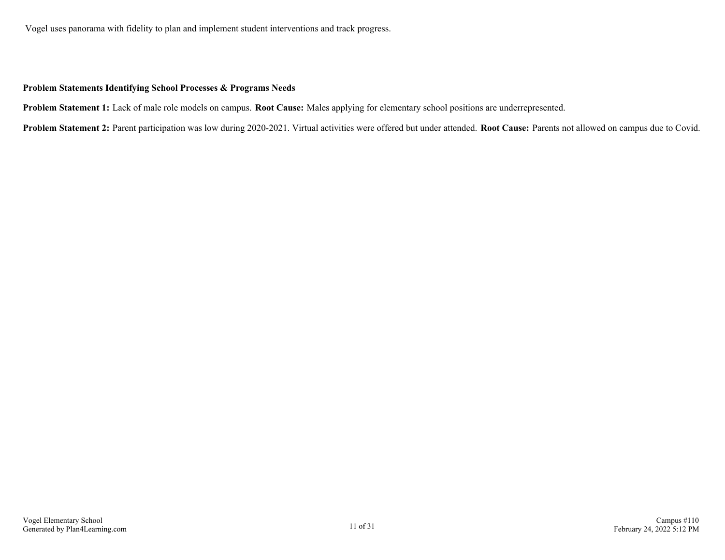Vogel uses panorama with fidelity to plan and implement student interventions and track progress.

### **Problem Statements Identifying School Processes & Programs Needs**

**Problem Statement 1:** Lack of male role models on campus. **Root Cause:** Males applying for elementary school positions are underrepresented.

**Problem Statement 2:** Parent participation was low during 2020-2021. Virtual activities were offered but under attended. **Root Cause:** Parents not allowed on campus due to Covid.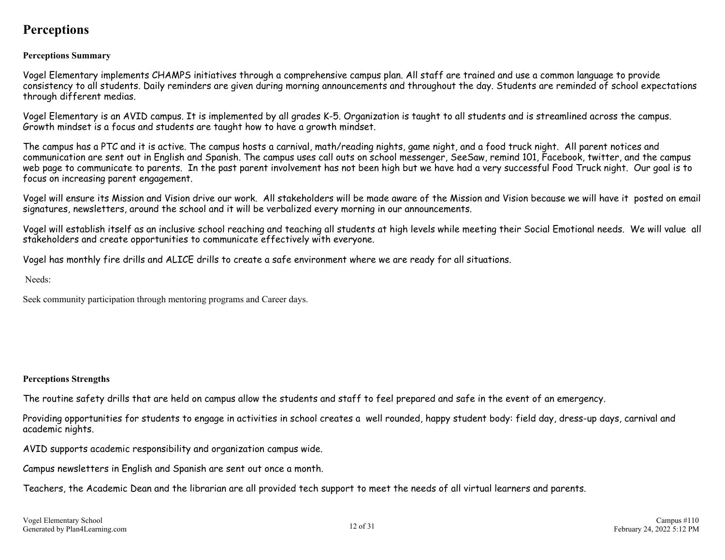## <span id="page-11-0"></span>**Perceptions**

## **Perceptions Summary**

Vogel Elementary implements CHAMPS initiatives through a comprehensive campus plan. All staff are trained and use a common language to provide consistency to all students. Daily reminders are given during morning announcements and throughout the day. Students are reminded of school expectations through different medias.

Vogel Elementary is an AVID campus. It is implemented by all grades K-5. Organization is taught to all students and is streamlined across the campus. Growth mindset is a focus and students are taught how to have a growth mindset.

The campus has a PTC and it is active. The campus hosts a carnival, math/reading nights, game night, and a food truck night. All parent notices and communication are sent out in English and Spanish. The campus uses call outs on school messenger, SeeSaw, remind 101, Facebook, twitter, and the campus web page to communicate to parents. In the past parent involvement has not been high but we have had a very successful Food Truck night. Our goal is to focus on increasing parent engagement.

Vogel will ensure its Mission and Vision drive our work. All stakeholders will be made aware of the Mission and Vision because we will have it posted on email signatures, newsletters, around the school and it will be verbalized every morning in our announcements.

Vogel will establish itself as an inclusive school reaching and teaching all students at high levels while meeting their Social Emotional needs. We will value all stakeholders and create opportunities to communicate effectively with everyone.

Vogel has monthly fire drills and ALICE drills to create a safe environment where we are ready for all situations.

Needs:

Seek community participation through mentoring programs and Career days.

## **Perceptions Strengths**

The routine safety drills that are held on campus allow the students and staff to feel prepared and safe in the event of an emergency.

Providing opportunities for students to engage in activities in school creates a well rounded, happy student body: field day, dress-up days, carnival and academic nights.

AVID supports academic responsibility and organization campus wide.

Campus newsletters in English and Spanish are sent out once a month.

Teachers, the Academic Dean and the librarian are all provided tech support to meet the needs of all virtual learners and parents.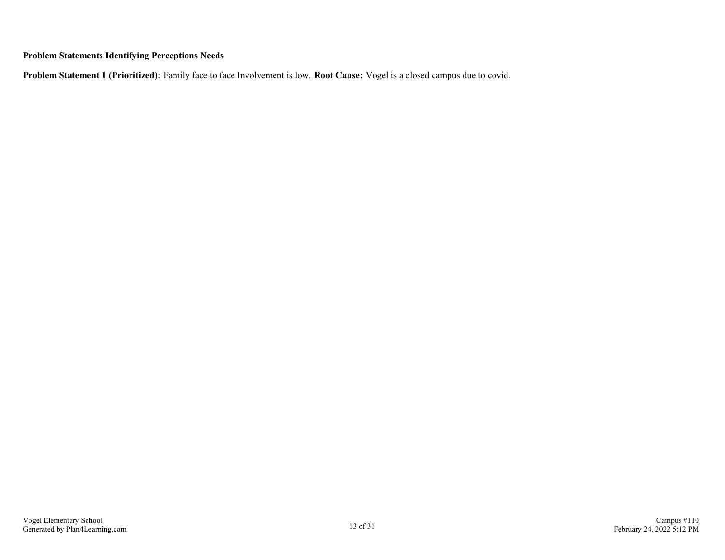## **Problem Statements Identifying Perceptions Needs**

**Problem Statement 1 (Prioritized):** Family face to face Involvement is low. **Root Cause:** Vogel is a closed campus due to covid.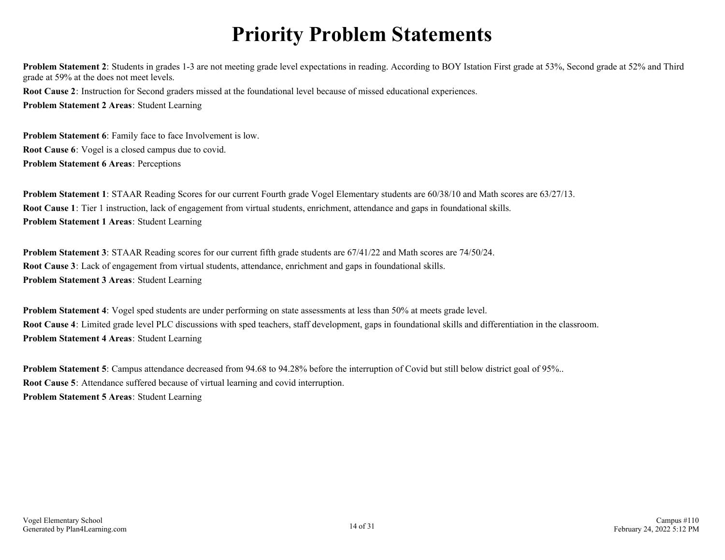## **Priority Problem Statements**

<span id="page-13-0"></span>**Problem Statement 2**: Students in grades 1-3 are not meeting grade level expectations in reading. According to BOY Istation First grade at 53%, Second grade at 52% and Third grade at 59% at the does not meet levels.

**Root Cause 2**: Instruction for Second graders missed at the foundational level because of missed educational experiences. **Problem Statement 2 Areas**: Student Learning

**Problem Statement 6**: Family face to face Involvement is low. **Root Cause 6**: Vogel is a closed campus due to covid. **Problem Statement 6 Areas**: Perceptions

**Problem Statement 1**: STAAR Reading Scores for our current Fourth grade Vogel Elementary students are 60/38/10 and Math scores are 63/27/13. **Root Cause 1**: Tier 1 instruction, lack of engagement from virtual students, enrichment, attendance and gaps in foundational skills. **Problem Statement 1 Areas**: Student Learning

**Problem Statement 3**: STAAR Reading scores for our current fifth grade students are 67/41/22 and Math scores are 74/50/24. **Root Cause 3**: Lack of engagement from virtual students, attendance, enrichment and gaps in foundational skills. **Problem Statement 3 Areas**: Student Learning

**Problem Statement 4**: Vogel sped students are under performing on state assessments at less than 50% at meets grade level. **Root Cause 4**: Limited grade level PLC discussions with sped teachers, staff development, gaps in foundational skills and differentiation in the classroom. **Problem Statement 4 Areas**: Student Learning

**Problem Statement 5**: Campus attendance decreased from 94.68 to 94.28% before the interruption of Covid but still below district goal of 95%.. **Root Cause 5**: Attendance suffered because of virtual learning and covid interruption. **Problem Statement 5 Areas**: Student Learning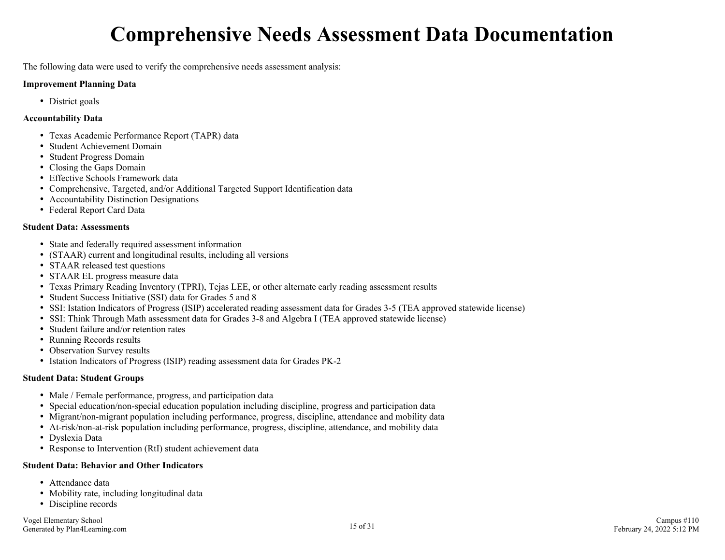## **Comprehensive Needs Assessment Data Documentation**

<span id="page-14-0"></span>The following data were used to verify the comprehensive needs assessment analysis:

#### **Improvement Planning Data**

• District goals

### **Accountability Data**

- Texas Academic Performance Report (TAPR) data
- Student Achievement Domain
- Student Progress Domain
- Closing the Gaps Domain
- Effective Schools Framework data
- Comprehensive, Targeted, and/or Additional Targeted Support Identification data
- Accountability Distinction Designations
- Federal Report Card Data

### **Student Data: Assessments**

- State and federally required assessment information
- (STAAR) current and longitudinal results, including all versions
- STAAR released test questions
- STAAR EL progress measure data
- Texas Primary Reading Inventory (TPRI), Tejas LEE, or other alternate early reading assessment results
- Student Success Initiative (SSI) data for Grades 5 and 8
- SSI: Istation Indicators of Progress (ISIP) accelerated reading assessment data for Grades 3-5 (TEA approved statewide license)
- SSI: Think Through Math assessment data for Grades 3-8 and Algebra I (TEA approved statewide license)
- Student failure and/or retention rates
- Running Records results
- Observation Survey results
- Istation Indicators of Progress (ISIP) reading assessment data for Grades PK-2

## **Student Data: Student Groups**

- Male / Female performance, progress, and participation data
- Special education/non-special education population including discipline, progress and participation data
- Migrant/non-migrant population including performance, progress, discipline, attendance and mobility data
- At-risk/non-at-risk population including performance, progress, discipline, attendance, and mobility data
- Dyslexia Data
- Response to Intervention (RtI) student achievement data

## **Student Data: Behavior and Other Indicators**

- Attendance data
- Mobility rate, including longitudinal data
- Discipline records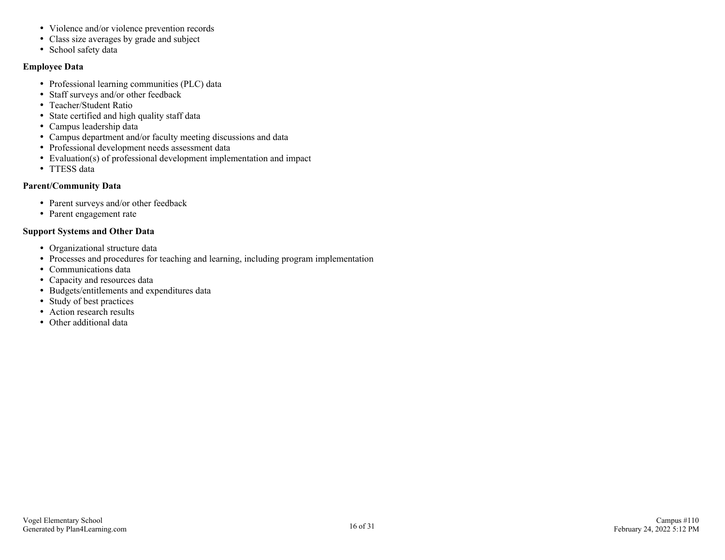- Violence and/or violence prevention records
- Class size averages by grade and subject
- School safety data

## **Employee Data**

- Professional learning communities (PLC) data
- Staff surveys and/or other feedback
- Teacher/Student Ratio
- State certified and high quality staff data
- Campus leadership data
- Campus department and/or faculty meeting discussions and data
- Professional development needs assessment data
- Evaluation(s) of professional development implementation and impact
- TTESS data

## **Parent/Community Data**

- Parent surveys and/or other feedback
- Parent engagement rate

## **Support Systems and Other Data**

- Organizational structure data
- Processes and procedures for teaching and learning, including program implementation
- Communications data
- Capacity and resources data
- Budgets/entitlements and expenditures data
- Study of best practices
- Action research results
- Other additional data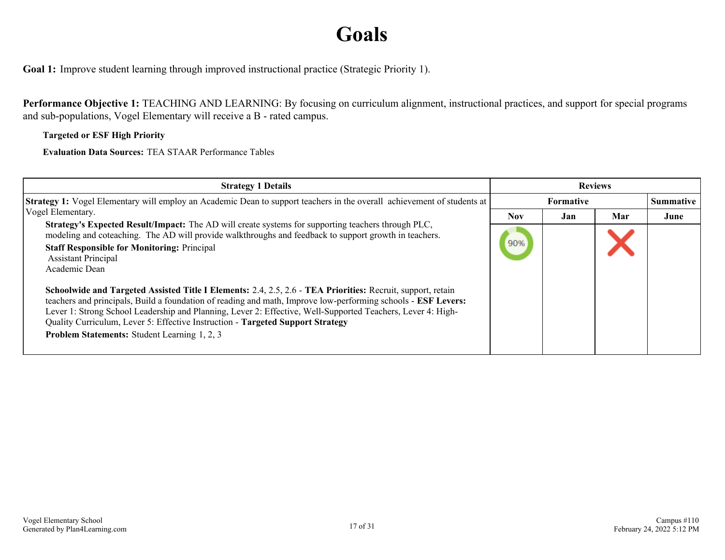## **Goals**

<span id="page-16-0"></span>**Goal 1:** Improve student learning through improved instructional practice (Strategic Priority 1).

**Performance Objective 1:** TEACHING AND LEARNING: By focusing on curriculum alignment, instructional practices, and support for special programs and sub-populations, Vogel Elementary will receive a B - rated campus.

## **Targeted or ESF High Priority**

**Evaluation Data Sources:** TEA STAAR Performance Tables

| <b>Strategy 1 Details</b>                                                                                                                                                                                                                                                                                                                                                                                                                                                                                                                                                                                                                                                                                                                                                                                | <b>Reviews</b> |                  |     |                  |
|----------------------------------------------------------------------------------------------------------------------------------------------------------------------------------------------------------------------------------------------------------------------------------------------------------------------------------------------------------------------------------------------------------------------------------------------------------------------------------------------------------------------------------------------------------------------------------------------------------------------------------------------------------------------------------------------------------------------------------------------------------------------------------------------------------|----------------|------------------|-----|------------------|
| Strategy 1: Vogel Elementary will employ an Academic Dean to support teachers in the overall achievement of students at                                                                                                                                                                                                                                                                                                                                                                                                                                                                                                                                                                                                                                                                                  |                | <b>Formative</b> |     | <b>Summative</b> |
| Vogel Elementary.                                                                                                                                                                                                                                                                                                                                                                                                                                                                                                                                                                                                                                                                                                                                                                                        | Nov.           | Jan              | Mar | June             |
| <b>Strategy's Expected Result/Impact:</b> The AD will create systems for supporting teachers through PLC,<br>modeling and coteaching. The AD will provide walkthroughs and feedback to support growth in teachers.<br><b>Staff Responsible for Monitoring: Principal</b><br><b>Assistant Principal</b><br>Academic Dean<br>Schoolwide and Targeted Assisted Title I Elements: 2.4, 2.5, 2.6 - TEA Priorities: Recruit, support, retain<br>teachers and principals, Build a foundation of reading and math, Improve low-performing schools - ESF Levers:<br>Lever 1: Strong School Leadership and Planning, Lever 2: Effective, Well-Supported Teachers, Lever 4: High-<br>Quality Curriculum, Lever 5: Effective Instruction - Targeted Support Strategy<br>Problem Statements: Student Learning 1, 2, 3 | 90%            |                  |     |                  |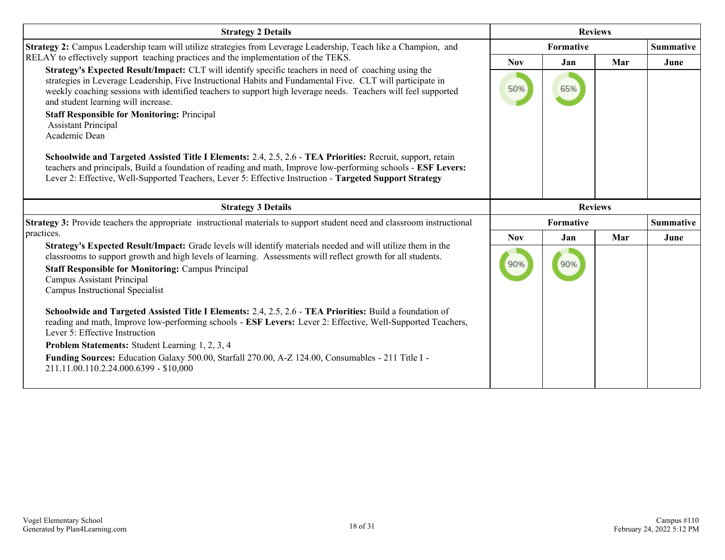| <b>Strategy 2 Details</b>                                                                                                                                                                                                                                                                                                                                                   | <b>Reviews</b> |                |     |                  |
|-----------------------------------------------------------------------------------------------------------------------------------------------------------------------------------------------------------------------------------------------------------------------------------------------------------------------------------------------------------------------------|----------------|----------------|-----|------------------|
| Strategy 2: Campus Leadership team will utilize strategies from Leverage Leadership, Teach like a Champion, and                                                                                                                                                                                                                                                             |                | Formative      |     | <b>Summative</b> |
| RELAY to effectively support teaching practices and the implementation of the TEKS.                                                                                                                                                                                                                                                                                         | <b>Nov</b>     | Jan            | Mar | June             |
| Strategy's Expected Result/Impact: CLT will identify specific teachers in need of coaching using the<br>strategies in Leverage Leadership, Five Instructional Habits and Fundamental Five. CLT will participate in<br>weekly coaching sessions with identified teachers to support high leverage needs. Teachers will feel supported<br>and student learning will increase. | 50%            | 65%            |     |                  |
| <b>Staff Responsible for Monitoring: Principal</b><br><b>Assistant Principal</b><br>Academic Dean                                                                                                                                                                                                                                                                           |                |                |     |                  |
| Schoolwide and Targeted Assisted Title I Elements: 2.4, 2.5, 2.6 - TEA Priorities: Recruit, support, retain<br>teachers and principals, Build a foundation of reading and math, Improve low-performing schools - ESF Levers:<br>Lever 2: Effective, Well-Supported Teachers, Lever 5: Effective Instruction - Targeted Support Strategy                                     |                |                |     |                  |
| <b>Strategy 3 Details</b>                                                                                                                                                                                                                                                                                                                                                   |                | <b>Reviews</b> |     |                  |
| Strategy 3: Provide teachers the appropriate instructional materials to support student need and classroom instructional                                                                                                                                                                                                                                                    |                | Formative      |     | <b>Summative</b> |
| practices.                                                                                                                                                                                                                                                                                                                                                                  | <b>Nov</b>     | Jan            | Mar | June             |
| Strategy's Expected Result/Impact: Grade levels will identify materials needed and will utilize them in the<br>classrooms to support growth and high levels of learning. Assessments will reflect growth for all students.<br><b>Staff Responsible for Monitoring: Campus Principal</b><br><b>Campus Assistant Principal</b><br>Campus Instructional Specialist             | 90%            | 90%            |     |                  |
| Schoolwide and Targeted Assisted Title I Elements: 2.4, 2.5, 2.6 - TEA Priorities: Build a foundation of<br>reading and math, Improve low-performing schools - ESF Levers: Lever 2: Effective, Well-Supported Teachers,<br>Lever 5: Effective Instruction                                                                                                                   |                |                |     |                  |
| <b>Problem Statements:</b> Student Learning 1, 2, 3, 4                                                                                                                                                                                                                                                                                                                      |                |                |     |                  |
| Funding Sources: Education Galaxy 500.00, Starfall 270.00, A-Z 124.00, Consumables - 211 Title I -<br>211.11.00.110.2.24.000.6399 - \$10,000                                                                                                                                                                                                                                |                |                |     |                  |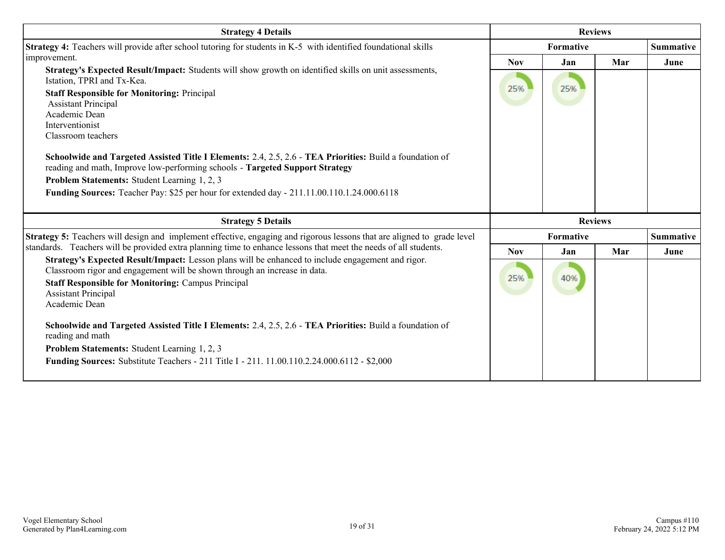| <b>Strategy 4 Details</b>                                                                                                                                                      |            | <b>Reviews</b> |     |                  |
|--------------------------------------------------------------------------------------------------------------------------------------------------------------------------------|------------|----------------|-----|------------------|
| Strategy 4: Teachers will provide after school tutoring for students in K-5 with identified foundational skills                                                                |            | Formative      |     | <b>Summative</b> |
| improvement.                                                                                                                                                                   | <b>Nov</b> | Jan            | Mar | June             |
| Strategy's Expected Result/Impact: Students will show growth on identified skills on unit assessments,<br>Istation, TPRI and Tx-Kea.                                           |            |                |     |                  |
| <b>Staff Responsible for Monitoring: Principal</b>                                                                                                                             | 25%        | 25%            |     |                  |
| <b>Assistant Principal</b>                                                                                                                                                     |            |                |     |                  |
| Academic Dean                                                                                                                                                                  |            |                |     |                  |
| Interventionist<br>Classroom teachers                                                                                                                                          |            |                |     |                  |
|                                                                                                                                                                                |            |                |     |                  |
| Schoolwide and Targeted Assisted Title I Elements: 2.4, 2.5, 2.6 - TEA Priorities: Build a foundation of                                                                       |            |                |     |                  |
| reading and math, Improve low-performing schools - Targeted Support Strategy                                                                                                   |            |                |     |                  |
| Problem Statements: Student Learning 1, 2, 3                                                                                                                                   |            |                |     |                  |
| <b>Funding Sources:</b> Teacher Pay: \$25 per hour for extended day - 211.11.00.110.1.24.000.6118                                                                              |            |                |     |                  |
|                                                                                                                                                                                |            |                |     |                  |
| <b>Strategy 5 Details</b>                                                                                                                                                      |            | <b>Reviews</b> |     |                  |
| Strategy 5: Teachers will design and implement effective, engaging and rigorous lessons that are aligned to grade level                                                        |            | Formative      |     | <b>Summative</b> |
| standards. Teachers will be provided extra planning time to enhance lessons that meet the needs of all students.                                                               | <b>Nov</b> | Jan            | Mar | June             |
| Strategy's Expected Result/Impact: Lesson plans will be enhanced to include engagement and rigor.<br>Classroom rigor and engagement will be shown through an increase in data. |            |                |     |                  |
| <b>Staff Responsible for Monitoring: Campus Principal</b>                                                                                                                      | 25%        | 40%            |     |                  |
| <b>Assistant Principal</b>                                                                                                                                                     |            |                |     |                  |
| Academic Dean                                                                                                                                                                  |            |                |     |                  |
| Schoolwide and Targeted Assisted Title I Elements: 2.4, 2.5, 2.6 - TEA Priorities: Build a foundation of                                                                       |            |                |     |                  |
| reading and math                                                                                                                                                               |            |                |     |                  |
| Problem Statements: Student Learning 1, 2, 3                                                                                                                                   |            |                |     |                  |
| <b>Funding Sources:</b> Substitute Teachers - 211 Title I - 211. 11.00.110.2.24.000.6112 - \$2,000                                                                             |            |                |     |                  |
|                                                                                                                                                                                |            |                |     |                  |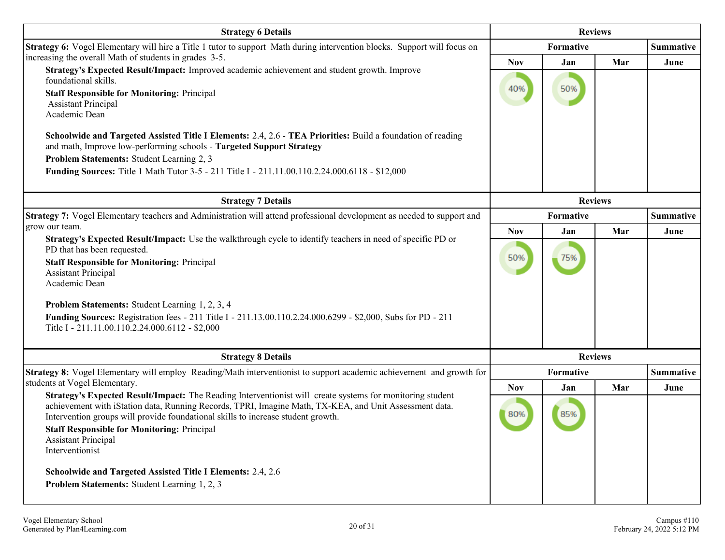| <b>Strategy 6 Details</b>                                                                                                                                                                                                                                                                                                                                                                                                                                                                                                                                                                                                 | <b>Reviews</b>    |                |                  |                  |
|---------------------------------------------------------------------------------------------------------------------------------------------------------------------------------------------------------------------------------------------------------------------------------------------------------------------------------------------------------------------------------------------------------------------------------------------------------------------------------------------------------------------------------------------------------------------------------------------------------------------------|-------------------|----------------|------------------|------------------|
| Strategy 6: Vogel Elementary will hire a Title 1 tutor to support Math during intervention blocks. Support will focus on                                                                                                                                                                                                                                                                                                                                                                                                                                                                                                  |                   |                | <b>Summative</b> |                  |
| increasing the overall Math of students in grades 3-5.<br>Strategy's Expected Result/Impact: Improved academic achievement and student growth. Improve<br>foundational skills.<br><b>Staff Responsible for Monitoring: Principal</b><br><b>Assistant Principal</b><br>Academic Dean<br>Schoolwide and Targeted Assisted Title I Elements: 2.4, 2.6 - TEA Priorities: Build a foundation of reading<br>and math, Improve low-performing schools - Targeted Support Strategy<br>Problem Statements: Student Learning 2, 3<br>Funding Sources: Title 1 Math Tutor 3-5 - 211 Title I - 211.11.00.110.2.24.000.6118 - \$12,000 | <b>Nov</b><br>40% | Jan<br>50%     | Mar              | June             |
| <b>Strategy 7 Details</b>                                                                                                                                                                                                                                                                                                                                                                                                                                                                                                                                                                                                 |                   | <b>Reviews</b> |                  |                  |
| Strategy 7: Vogel Elementary teachers and Administration will attend professional development as needed to support and                                                                                                                                                                                                                                                                                                                                                                                                                                                                                                    | Formative         |                |                  | <b>Summative</b> |
| grow our team.                                                                                                                                                                                                                                                                                                                                                                                                                                                                                                                                                                                                            | <b>Nov</b>        | Jan            | Mar              | June             |
| Strategy's Expected Result/Impact: Use the walkthrough cycle to identify teachers in need of specific PD or<br>PD that has been requested.<br><b>Staff Responsible for Monitoring: Principal</b><br><b>Assistant Principal</b><br>Academic Dean<br><b>Problem Statements:</b> Student Learning 1, 2, 3, 4<br>Funding Sources: Registration fees - 211 Title I - 211.13.00.110.2.24.000.6299 - \$2,000, Subs for PD - 211<br>Title I - 211.11.00.110.2.24.000.6112 - \$2,000                                                                                                                                               | 50%               | 75%            |                  |                  |
|                                                                                                                                                                                                                                                                                                                                                                                                                                                                                                                                                                                                                           |                   | <b>Reviews</b> |                  |                  |
| <b>Strategy 8 Details</b><br>Strategy 8: Vogel Elementary will employ Reading/Math interventionist to support academic achievement and growth for                                                                                                                                                                                                                                                                                                                                                                                                                                                                         |                   | Formative      |                  | <b>Summative</b> |
| students at Vogel Elementary.                                                                                                                                                                                                                                                                                                                                                                                                                                                                                                                                                                                             | <b>Nov</b>        | Jan            | Mar              | June             |
| Strategy's Expected Result/Impact: The Reading Interventionist will create systems for monitoring student<br>achievement with iStation data, Running Records, TPRI, Imagine Math, TX-KEA, and Unit Assessment data.<br>Intervention groups will provide foundational skills to increase student growth.<br><b>Staff Responsible for Monitoring: Principal</b><br><b>Assistant Principal</b><br>Interventionist<br>Schoolwide and Targeted Assisted Title I Elements: 2.4, 2.6<br>Problem Statements: Student Learning 1, 2, 3                                                                                             | 80%               | 85%            |                  |                  |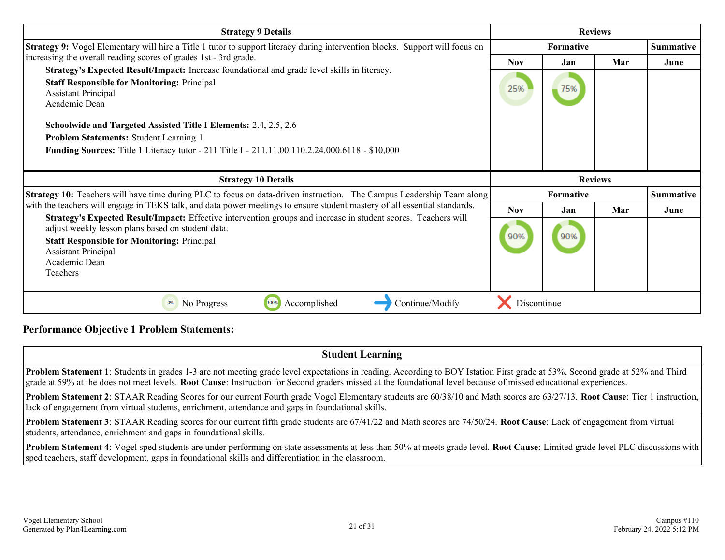| <b>Strategy 9 Details</b>                                                                                                                                                                                                                                                            | <b>Reviews</b>   |                  |     |                  |
|--------------------------------------------------------------------------------------------------------------------------------------------------------------------------------------------------------------------------------------------------------------------------------------|------------------|------------------|-----|------------------|
| <b>Strategy 9:</b> Vogel Elementary will hire a Title 1 tutor to support literacy during intervention blocks. Support will focus on                                                                                                                                                  | <b>Formative</b> |                  |     | <b>Summative</b> |
| increasing the overall reading scores of grades 1st - 3rd grade.                                                                                                                                                                                                                     | <b>Nov</b>       | Jan              | Mar | June             |
| Strategy's Expected Result/Impact: Increase foundational and grade level skills in literacy.<br><b>Staff Responsible for Monitoring: Principal</b><br><b>Assistant Principal</b><br>Academic Dean                                                                                    | 25%              | 75%              |     |                  |
| Schoolwide and Targeted Assisted Title I Elements: 2.4, 2.5, 2.6                                                                                                                                                                                                                     |                  |                  |     |                  |
| Problem Statements: Student Learning 1                                                                                                                                                                                                                                               |                  |                  |     |                  |
| <b>Funding Sources:</b> Title 1 Literacy tutor - 211 Title I - 211.11.00.110.2.24.000.6118 - \$10,000                                                                                                                                                                                |                  |                  |     |                  |
|                                                                                                                                                                                                                                                                                      |                  |                  |     |                  |
|                                                                                                                                                                                                                                                                                      |                  |                  |     |                  |
| <b>Strategy 10 Details</b>                                                                                                                                                                                                                                                           |                  | <b>Reviews</b>   |     |                  |
| Strategy 10: Teachers will have time during PLC to focus on data-driven instruction. The Campus Leadership Team along                                                                                                                                                                |                  | <b>Formative</b> |     | <b>Summative</b> |
| with the teachers will engage in TEKS talk, and data power meetings to ensure student mastery of all essential standards.                                                                                                                                                            | <b>Nov</b>       | Jan              | Mar | June             |
| Strategy's Expected Result/Impact: Effective intervention groups and increase in student scores. Teachers will<br>adjust weekly lesson plans based on student data.<br><b>Staff Responsible for Monitoring: Principal</b><br><b>Assistant Principal</b><br>Academic Dean<br>Teachers | 90%              | 90%              |     |                  |

## **Performance Objective 1 Problem Statements:**

| <b>Student Learning</b>                                                                                                                                                                                                                                                                                                                                  |
|----------------------------------------------------------------------------------------------------------------------------------------------------------------------------------------------------------------------------------------------------------------------------------------------------------------------------------------------------------|
| <b>Problem Statement 1</b> : Students in grades 1-3 are not meeting grade level expectations in reading. According to BOY Istation First grade at 53%, Second grade at 52% and Third<br>grade at 59% at the does not meet levels. Root Cause: Instruction for Second graders missed at the foundational level because of missed educational experiences. |
| <b>Problem Statement 2:</b> STAAR Reading Scores for our current Fourth grade Vogel Elementary students are 60/38/10 and Math scores are 63/27/13. Root Cause: Tier 1 instruction,<br>lack of engagement from virtual students, enrichment, attendance and gaps in foundational skills.                                                                  |
| <b>Problem Statement 3:</b> STAAR Reading scores for our current fifth grade students are 67/41/22 and Math scores are 74/50/24. Root Cause: Lack of engagement from virtual<br>students, attendance, enrichment and gaps in foundational skills.                                                                                                        |
| $\vert$ <b>Droblem Statement 4:</b> Vogal and students are under performing on state assessments at less than 50% at meets grade level <b>Doot Cause:</b> I imited grade level DI C discussions with                                                                                                                                                     |

**Problem Statement 4**: Vogel sped students are under performing on state assessments at less than 50% at meets grade level. **Root Cause**: Limited grade level PLC discussions with sped teachers, staff development, gaps in foundational skills and differentiation in the classroom.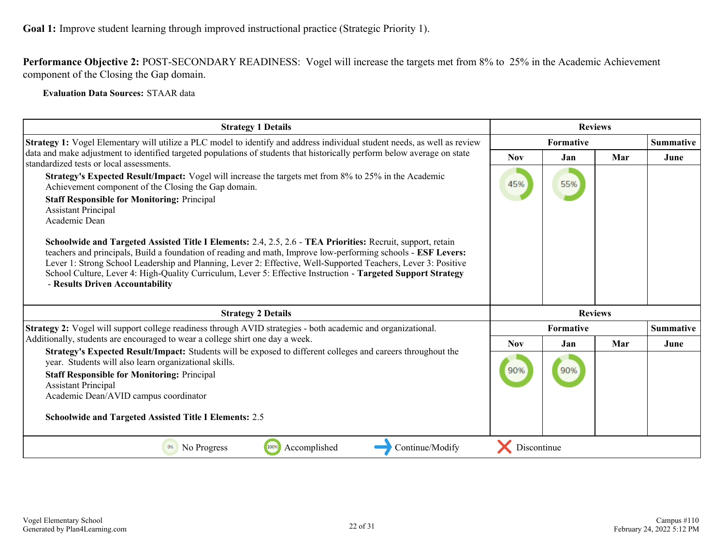**Performance Objective 2:** POST-SECONDARY READINESS: Vogel will increase the targets met from 8% to 25% in the Academic Achievement component of the Closing the Gap domain.

**Evaluation Data Sources:** STAAR data

| <b>Strategy 1 Details</b>                                                                                                                                                                                                                                                                                                                                                                                                                                                                                                                                                                                                                                                                                                                                               | <b>Reviews</b> |                  |     |                  |
|-------------------------------------------------------------------------------------------------------------------------------------------------------------------------------------------------------------------------------------------------------------------------------------------------------------------------------------------------------------------------------------------------------------------------------------------------------------------------------------------------------------------------------------------------------------------------------------------------------------------------------------------------------------------------------------------------------------------------------------------------------------------------|----------------|------------------|-----|------------------|
| <b>Strategy 1:</b> Vogel Elementary will utilize a PLC model to identify and address individual student needs, as well as review                                                                                                                                                                                                                                                                                                                                                                                                                                                                                                                                                                                                                                        |                | <b>Summative</b> |     |                  |
| data and make adjustment to identified targeted populations of students that historically perform below average on state<br>standardized tests or local assessments.                                                                                                                                                                                                                                                                                                                                                                                                                                                                                                                                                                                                    | <b>Nov</b>     | Jan              | Mar | June             |
| Strategy's Expected Result/Impact: Vogel will increase the targets met from 8% to 25% in the Academic<br>Achievement component of the Closing the Gap domain.<br><b>Staff Responsible for Monitoring: Principal</b><br><b>Assistant Principal</b><br>Academic Dean<br>Schoolwide and Targeted Assisted Title I Elements: 2.4, 2.5, 2.6 - TEA Priorities: Recruit, support, retain<br>teachers and principals, Build a foundation of reading and math, Improve low-performing schools - ESF Levers:<br>Lever 1: Strong School Leadership and Planning, Lever 2: Effective, Well-Supported Teachers, Lever 3: Positive<br>School Culture, Lever 4: High-Quality Curriculum, Lever 5: Effective Instruction - Targeted Support Strategy<br>- Results Driven Accountability | 45%            | 55%              |     |                  |
| <b>Strategy 2 Details</b>                                                                                                                                                                                                                                                                                                                                                                                                                                                                                                                                                                                                                                                                                                                                               |                | <b>Reviews</b>   |     |                  |
| Strategy 2: Vogel will support college readiness through AVID strategies - both academic and organizational.                                                                                                                                                                                                                                                                                                                                                                                                                                                                                                                                                                                                                                                            |                | Formative        |     | <b>Summative</b> |
| Additionally, students are encouraged to wear a college shirt one day a week.                                                                                                                                                                                                                                                                                                                                                                                                                                                                                                                                                                                                                                                                                           | <b>Nov</b>     | Jan              | Mar | June             |
| Strategy's Expected Result/Impact: Students will be exposed to different colleges and careers throughout the<br>year. Students will also learn organizational skills.<br><b>Staff Responsible for Monitoring: Principal</b><br><b>Assistant Principal</b><br>Academic Dean/AVID campus coordinator<br><b>Schoolwide and Targeted Assisted Title I Elements: 2.5</b>                                                                                                                                                                                                                                                                                                                                                                                                     | 90%            | 90%              |     |                  |
| Accomplished<br>100%<br>Continue/Modify<br>No Progress<br>0%                                                                                                                                                                                                                                                                                                                                                                                                                                                                                                                                                                                                                                                                                                            | Discontinue    |                  |     |                  |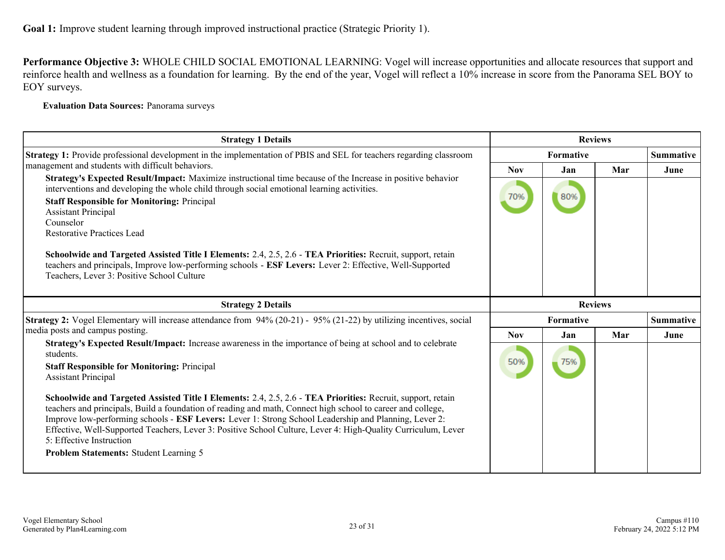**Performance Objective 3:** WHOLE CHILD SOCIAL EMOTIONAL LEARNING: Vogel will increase opportunities and allocate resources that support and reinforce health and wellness as a foundation for learning. By the end of the year, Vogel will reflect a 10% increase in score from the Panorama SEL BOY to EOY surveys.

**Evaluation Data Sources:** Panorama surveys

| <b>Strategy 1 Details</b>                                                                                                                                                                                                                                                                                                                                                                                                                                                                                                  | <b>Reviews</b>   |                |     |                  |
|----------------------------------------------------------------------------------------------------------------------------------------------------------------------------------------------------------------------------------------------------------------------------------------------------------------------------------------------------------------------------------------------------------------------------------------------------------------------------------------------------------------------------|------------------|----------------|-----|------------------|
| Strategy 1: Provide professional development in the implementation of PBIS and SEL for teachers regarding classroom                                                                                                                                                                                                                                                                                                                                                                                                        | <b>Formative</b> |                |     | <b>Summative</b> |
| management and students with difficult behaviors.                                                                                                                                                                                                                                                                                                                                                                                                                                                                          | <b>Nov</b>       | Jan            | Mar | June             |
| Strategy's Expected Result/Impact: Maximize instructional time because of the Increase in positive behavior<br>interventions and developing the whole child through social emotional learning activities.<br><b>Staff Responsible for Monitoring: Principal</b><br><b>Assistant Principal</b><br>Counselor<br><b>Restorative Practices Lead</b>                                                                                                                                                                            | 70%              | 80%            |     |                  |
| Schoolwide and Targeted Assisted Title I Elements: 2.4, 2.5, 2.6 - TEA Priorities: Recruit, support, retain<br>teachers and principals, Improve low-performing schools - ESF Levers: Lever 2: Effective, Well-Supported<br>Teachers, Lever 3: Positive School Culture                                                                                                                                                                                                                                                      |                  |                |     |                  |
| <b>Strategy 2 Details</b>                                                                                                                                                                                                                                                                                                                                                                                                                                                                                                  |                  | <b>Reviews</b> |     |                  |
| <b>Strategy 2:</b> Vogel Elementary will increase attendance from 94% (20-21) - 95% (21-22) by utilizing incentives, social                                                                                                                                                                                                                                                                                                                                                                                                |                  | Formative      |     | <b>Summative</b> |
| media posts and campus posting.                                                                                                                                                                                                                                                                                                                                                                                                                                                                                            | <b>Nov</b>       | Jan            | Mar | June             |
| Strategy's Expected Result/Impact: Increase awareness in the importance of being at school and to celebrate<br>students.<br><b>Staff Responsible for Monitoring: Principal</b><br><b>Assistant Principal</b>                                                                                                                                                                                                                                                                                                               | 50%              | 75%            |     |                  |
| Schoolwide and Targeted Assisted Title I Elements: 2.4, 2.5, 2.6 - TEA Priorities: Recruit, support, retain<br>teachers and principals, Build a foundation of reading and math, Connect high school to career and college,<br>Improve low-performing schools - ESF Levers: Lever 1: Strong School Leadership and Planning, Lever 2:<br>Effective, Well-Supported Teachers, Lever 3: Positive School Culture, Lever 4: High-Quality Curriculum, Lever<br>5: Effective Instruction<br>Problem Statements: Student Learning 5 |                  |                |     |                  |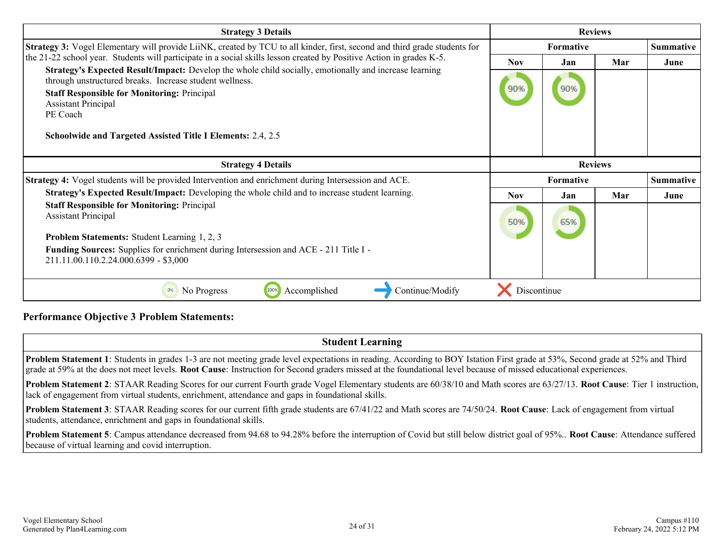| <b>Strategy 3 Details</b>                                                                                                                                         | <b>Reviews</b> |                  |     |                  |
|-------------------------------------------------------------------------------------------------------------------------------------------------------------------|----------------|------------------|-----|------------------|
| Strategy 3: Vogel Elementary will provide LiiNK, created by TCU to all kinder, first, second and third grade students for                                         |                | <b>Formative</b> |     | <b>Summative</b> |
| the 21-22 school year. Students will participate in a social skills lesson created by Positive Action in grades K-5.                                              | <b>Nov</b>     | Jan              | Mar | June             |
| Strategy's Expected Result/Impact: Develop the whole child socially, emotionally and increase learning<br>through unstructured breaks. Increase student wellness. |                |                  |     |                  |
| <b>Staff Responsible for Monitoring: Principal</b>                                                                                                                | 90%            | 90%              |     |                  |
| <b>Assistant Principal</b><br>PE Coach                                                                                                                            |                |                  |     |                  |
|                                                                                                                                                                   |                |                  |     |                  |
| <b>Schoolwide and Targeted Assisted Title I Elements: 2.4, 2.5</b>                                                                                                |                |                  |     |                  |
|                                                                                                                                                                   |                |                  |     |                  |
| <b>Strategy 4 Details</b>                                                                                                                                         |                | <b>Reviews</b>   |     |                  |
| Strategy 4: Vogel students will be provided Intervention and enrichment during Intersession and ACE.                                                              |                | <b>Formative</b> |     | <b>Summative</b> |
| Strategy's Expected Result/Impact: Developing the whole child and to increase student learning.                                                                   | <b>Nov</b>     | Jan              | Mar | June             |
| <b>Staff Responsible for Monitoring: Principal</b>                                                                                                                |                |                  |     |                  |
| <b>Assistant Principal</b>                                                                                                                                        | 50%            | 65%              |     |                  |
| <b>Problem Statements:</b> Student Learning 1, 2, 3                                                                                                               |                |                  |     |                  |
| <b>Funding Sources:</b> Supplies for enrichment during Intersession and ACE - 211 Title I -                                                                       |                |                  |     |                  |
| 211.11.00.110.2.24.000.6399 - \$3,000                                                                                                                             |                |                  |     |                  |
|                                                                                                                                                                   |                |                  |     |                  |
| No Progress<br>100%<br>Accomplished<br>Continue/Modify<br>0%                                                                                                      | Discontinue    |                  |     |                  |

## **Performance Objective 3 Problem Statements:**

## **Student Learning**

**Problem Statement 1**: Students in grades 1-3 are not meeting grade level expectations in reading. According to BOY Istation First grade at 53%, Second grade at 52% and Third grade at 59% at the does not meet levels. **Root Cause**: Instruction for Second graders missed at the foundational level because of missed educational experiences.

**Problem Statement 2**: STAAR Reading Scores for our current Fourth grade Vogel Elementary students are 60/38/10 and Math scores are 63/27/13. **Root Cause**: Tier 1 instruction, lack of engagement from virtual students, enrichment, attendance and gaps in foundational skills.

**Problem Statement 3**: STAAR Reading scores for our current fifth grade students are 67/41/22 and Math scores are 74/50/24. **Root Cause**: Lack of engagement from virtual students, attendance, enrichment and gaps in foundational skills.

**Problem Statement 5**: Campus attendance decreased from 94.68 to 94.28% before the interruption of Covid but still below district goal of 95%.. **Root Cause**: Attendance suffered because of virtual learning and covid interruption.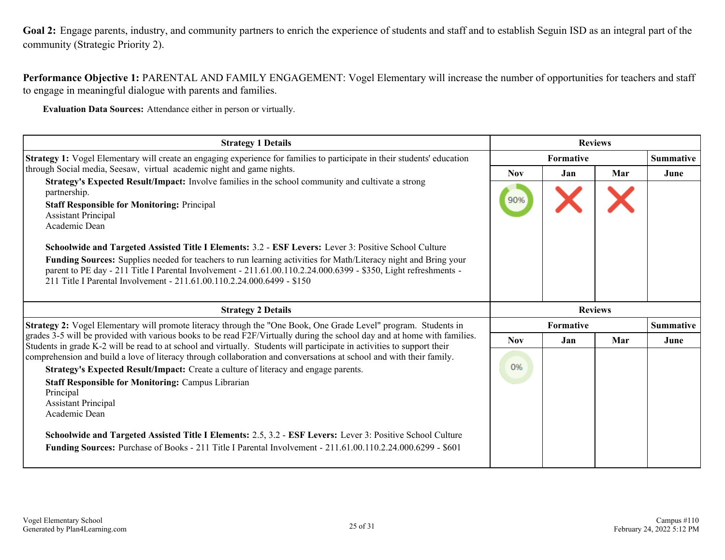<span id="page-24-0"></span>**Goal 2:** Engage parents, industry, and community partners to enrich the experience of students and staff and to establish Seguin ISD as an integral part of the community (Strategic Priority 2).

**Performance Objective 1:** PARENTAL AND FAMILY ENGAGEMENT: Vogel Elementary will increase the number of opportunities for teachers and staff to engage in meaningful dialogue with parents and families.

**Evaluation Data Sources:** Attendance either in person or virtually.

| <b>Strategy 1 Details</b>                                                                                                                                                                                                          | <b>Reviews</b>   |                  |     |                  |
|------------------------------------------------------------------------------------------------------------------------------------------------------------------------------------------------------------------------------------|------------------|------------------|-----|------------------|
| <b>Strategy 1:</b> Vogel Elementary will create an engaging experience for families to participate in their students' education                                                                                                    | <b>Formative</b> |                  |     | <b>Summative</b> |
| through Social media, Seesaw, virtual academic night and game nights.                                                                                                                                                              | <b>Nov</b>       | Jan              | Mar | June             |
| Strategy's Expected Result/Impact: Involve families in the school community and cultivate a strong<br>partnership.                                                                                                                 |                  |                  |     |                  |
| <b>Staff Responsible for Monitoring: Principal</b>                                                                                                                                                                                 | 90%              |                  |     |                  |
| <b>Assistant Principal</b>                                                                                                                                                                                                         |                  |                  |     |                  |
| Academic Dean                                                                                                                                                                                                                      |                  |                  |     |                  |
| Schoolwide and Targeted Assisted Title I Elements: 3.2 - ESF Levers: Lever 3: Positive School Culture                                                                                                                              |                  |                  |     |                  |
| Funding Sources: Supplies needed for teachers to run learning activities for Math/Literacy night and Bring your<br>parent to PE day - 211 Title I Parental Involvement - 211.61.00.110.2.24.000.6399 - \$350, Light refreshments - |                  |                  |     |                  |
| 211 Title I Parental Involvement - 211.61.00.110.2.24.000.6499 - \$150                                                                                                                                                             |                  |                  |     |                  |
|                                                                                                                                                                                                                                    |                  |                  |     |                  |
|                                                                                                                                                                                                                                    |                  |                  |     |                  |
| <b>Strategy 2 Details</b>                                                                                                                                                                                                          |                  | <b>Reviews</b>   |     |                  |
| Strategy 2: Vogel Elementary will promote literacy through the "One Book, One Grade Level" program. Students in                                                                                                                    |                  | <b>Formative</b> |     | <b>Summative</b> |
| grades 3-5 will be provided with various books to be read F2F/Virtually during the school day and at home with families.                                                                                                           | <b>Nov</b>       | Jan              | Mar | June             |
| Students in grade K-2 will be read to at school and virtually. Students will participate in activities to support their                                                                                                            |                  |                  |     |                  |
| comprehension and build a love of literacy through collaboration and conversations at school and with their family.                                                                                                                | 0%               |                  |     |                  |
| Strategy's Expected Result/Impact: Create a culture of literacy and engage parents.                                                                                                                                                |                  |                  |     |                  |
| <b>Staff Responsible for Monitoring: Campus Librarian</b><br>Principal                                                                                                                                                             |                  |                  |     |                  |
| <b>Assistant Principal</b>                                                                                                                                                                                                         |                  |                  |     |                  |
| Academic Dean                                                                                                                                                                                                                      |                  |                  |     |                  |
|                                                                                                                                                                                                                                    |                  |                  |     |                  |
| Schoolwide and Targeted Assisted Title I Elements: 2.5, 3.2 - ESF Levers: Lever 3: Positive School Culture<br>Funding Sources: Purchase of Books - 211 Title I Parental Involvement - 211.61.00.110.2.24.000.6299 - \$601          |                  |                  |     |                  |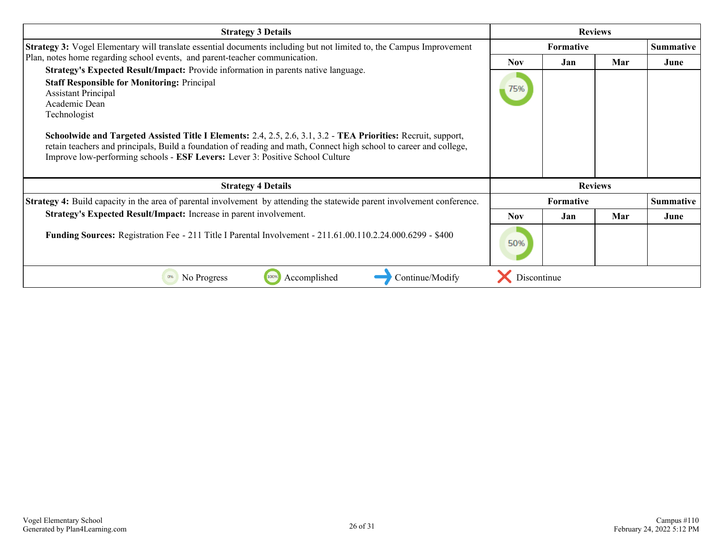| <b>Strategy 3 Details</b>                                                                                                                                                                                                                                                                                                                                                                                                                                                                                                                                                                                       | <b>Reviews</b>    |                  |                |                  |
|-----------------------------------------------------------------------------------------------------------------------------------------------------------------------------------------------------------------------------------------------------------------------------------------------------------------------------------------------------------------------------------------------------------------------------------------------------------------------------------------------------------------------------------------------------------------------------------------------------------------|-------------------|------------------|----------------|------------------|
| <b>Strategy 3:</b> Vogel Elementary will translate essential documents including but not limited to, the Campus Improvement                                                                                                                                                                                                                                                                                                                                                                                                                                                                                     |                   | <b>Formative</b> |                | <b>Summative</b> |
| Plan, notes home regarding school events, and parent-teacher communication.<br>Strategy's Expected Result/Impact: Provide information in parents native language.<br><b>Staff Responsible for Monitoring: Principal</b><br><b>Assistant Principal</b><br>Academic Dean<br>Technologist<br>Schoolwide and Targeted Assisted Title I Elements: 2.4, 2.5, 2.6, 3.1, 3.2 - TEA Priorities: Recruit, support,<br>retain teachers and principals, Build a foundation of reading and math, Connect high school to career and college,<br>Improve low-performing schools - ESF Levers: Lever 3: Positive School Culture | <b>Nov</b><br>75% | Jan              | Mar            | June             |
| <b>Strategy 4 Details</b>                                                                                                                                                                                                                                                                                                                                                                                                                                                                                                                                                                                       |                   |                  | <b>Reviews</b> |                  |
| <b>Strategy 4:</b> Build capacity in the area of parental involvement by attending the statewide parent involvement conference.                                                                                                                                                                                                                                                                                                                                                                                                                                                                                 |                   | <b>Formative</b> |                | <b>Summative</b> |
| Strategy's Expected Result/Impact: Increase in parent involvement.                                                                                                                                                                                                                                                                                                                                                                                                                                                                                                                                              | <b>Nov</b>        | Jan              | Mar            | June             |
| Funding Sources: Registration Fee - 211 Title I Parental Involvement - 211.61.00.110.2.24.000.6299 - \$400                                                                                                                                                                                                                                                                                                                                                                                                                                                                                                      | 50%               |                  |                |                  |
| Continue/Modify<br>No Progress<br>100%<br>Accomplished<br>0%                                                                                                                                                                                                                                                                                                                                                                                                                                                                                                                                                    | Discontinue       |                  |                |                  |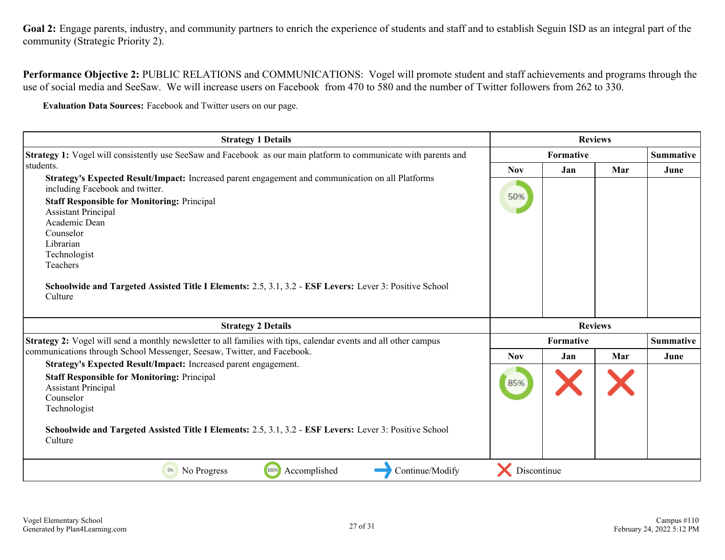Goal 2: Engage parents, industry, and community partners to enrich the experience of students and staff and to establish Seguin ISD as an integral part of the community (Strategic Priority 2).

**Performance Objective 2:** PUBLIC RELATIONS and COMMUNICATIONS: Vogel will promote student and staff achievements and programs through the use of social media and SeeSaw. We will increase users on Facebook from 470 to 580 and the number of Twitter followers from 262 to 330.

**Evaluation Data Sources:** Facebook and Twitter users on our page.

| <b>Strategy 1 Details</b>                                                                                                                                                                                                                                                                                                                                                                                             | <b>Reviews</b> |                  |     |                  |
|-----------------------------------------------------------------------------------------------------------------------------------------------------------------------------------------------------------------------------------------------------------------------------------------------------------------------------------------------------------------------------------------------------------------------|----------------|------------------|-----|------------------|
| Strategy 1: Vogel will consistently use SeeSaw and Facebook as our main platform to communicate with parents and                                                                                                                                                                                                                                                                                                      |                | <b>Summative</b> |     |                  |
| students.                                                                                                                                                                                                                                                                                                                                                                                                             | <b>Nov</b>     | Jan              | Mar | June             |
| Strategy's Expected Result/Impact: Increased parent engagement and communication on all Platforms<br>including Facebook and twitter.<br><b>Staff Responsible for Monitoring: Principal</b><br><b>Assistant Principal</b><br>Academic Dean<br>Counselor<br>Librarian<br>Technologist<br>Teachers<br>Schoolwide and Targeted Assisted Title I Elements: 2.5, 3.1, 3.2 - ESF Levers: Lever 3: Positive School<br>Culture | 50%            |                  |     |                  |
| <b>Strategy 2 Details</b>                                                                                                                                                                                                                                                                                                                                                                                             |                | <b>Reviews</b>   |     |                  |
| Strategy 2: Vogel will send a monthly newsletter to all families with tips, calendar events and all other campus                                                                                                                                                                                                                                                                                                      |                | <b>Formative</b> |     | <b>Summative</b> |
| communications through School Messenger, Seesaw, Twitter, and Facebook.                                                                                                                                                                                                                                                                                                                                               | <b>Nov</b>     | Jan              | Mar | June             |
| Strategy's Expected Result/Impact: Increased parent engagement.<br><b>Staff Responsible for Monitoring: Principal</b><br><b>Assistant Principal</b><br>Counselor<br>Technologist                                                                                                                                                                                                                                      | 85%            |                  |     |                  |
| Schoolwide and Targeted Assisted Title I Elements: 2.5, 3.1, 3.2 - ESF Levers: Lever 3: Positive School<br>Culture                                                                                                                                                                                                                                                                                                    |                |                  |     |                  |
| 100%<br>Accomplished<br>Continue/Modify<br>0%<br>No Progress                                                                                                                                                                                                                                                                                                                                                          | Discontinue    |                  |     |                  |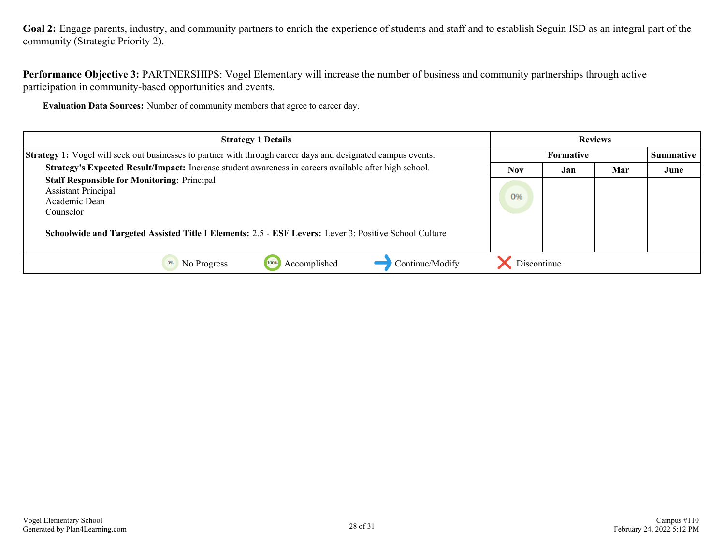Goal 2: Engage parents, industry, and community partners to enrich the experience of students and staff and to establish Seguin ISD as an integral part of the community (Strategic Priority 2).

**Performance Objective 3:** PARTNERSHIPS: Vogel Elementary will increase the number of business and community partnerships through active participation in community-based opportunities and events.

**Evaluation Data Sources:** Number of community members that agree to career day.

| <b>Strategy 1 Details</b>                                                                                           | <b>Reviews</b> |                  |     |                  |
|---------------------------------------------------------------------------------------------------------------------|----------------|------------------|-----|------------------|
| <b>Strategy 1:</b> Vogel will seek out businesses to partner with through career days and designated campus events. |                | <b>Formative</b> |     | <b>Summative</b> |
| Strategy's Expected Result/Impact: Increase student awareness in careers available after high school.               | <b>Nov</b>     | Jan              | Mar | June             |
| <b>Staff Responsible for Monitoring: Principal</b><br><b>Assistant Principal</b><br>Academic Dean<br>Counselor      | 0%             |                  |     |                  |
| Schoolwide and Targeted Assisted Title I Elements: 2.5 - ESF Levers: Lever 3: Positive School Culture               |                |                  |     |                  |
| Continue/Modify<br>No Progress<br>Accomplished<br>100%                                                              | Discontinue    |                  |     |                  |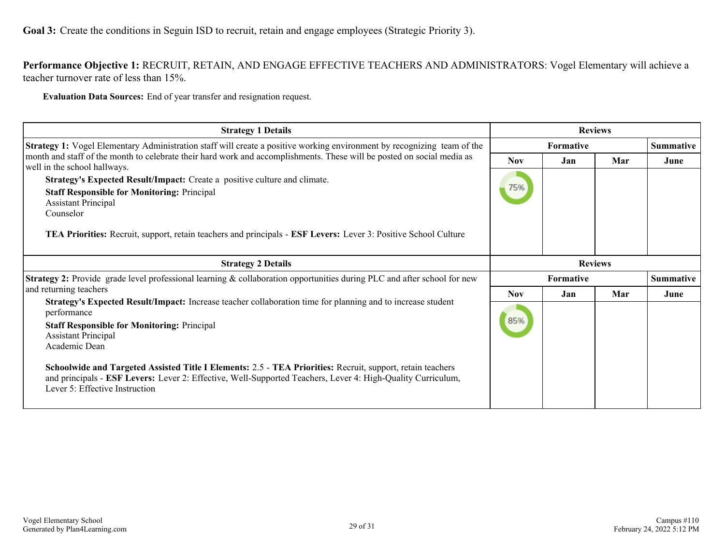<span id="page-28-0"></span>**Performance Objective 1:** RECRUIT, RETAIN, AND ENGAGE EFFECTIVE TEACHERS AND ADMINISTRATORS: Vogel Elementary will achieve a teacher turnover rate of less than 15%.

**Evaluation Data Sources:** End of year transfer and resignation request.

| <b>Strategy 1 Details</b>                                                                                                                                                                                                                                                                                                                                                                                                                                                    | <b>Reviews</b>    |                  |                |                  |
|------------------------------------------------------------------------------------------------------------------------------------------------------------------------------------------------------------------------------------------------------------------------------------------------------------------------------------------------------------------------------------------------------------------------------------------------------------------------------|-------------------|------------------|----------------|------------------|
| Strategy 1: Vogel Elementary Administration staff will create a positive working environment by recognizing team of the                                                                                                                                                                                                                                                                                                                                                      |                   | <b>Formative</b> |                | <b>Summative</b> |
| month and staff of the month to celebrate their hard work and accomplishments. These will be posted on social media as<br>well in the school hallways.<br><b>Strategy's Expected Result/Impact:</b> Create a positive culture and climate.<br><b>Staff Responsible for Monitoring: Principal</b><br><b>Assistant Principal</b><br>Counselor<br><b>TEA Priorities:</b> Recruit, support, retain teachers and principals - <b>ESF Levers:</b> Lever 3: Positive School Culture | <b>Nov</b><br>75% | Jan              | Mar            | June             |
| <b>Strategy 2 Details</b>                                                                                                                                                                                                                                                                                                                                                                                                                                                    |                   |                  | <b>Reviews</b> |                  |
| <b>Strategy 2:</b> Provide grade level professional learning & collaboration opportunities during PLC and after school for new                                                                                                                                                                                                                                                                                                                                               |                   | <b>Formative</b> |                | <b>Summative</b> |
| and returning teachers                                                                                                                                                                                                                                                                                                                                                                                                                                                       | <b>Nov</b>        | Jan              | Mar            | June             |
| Strategy's Expected Result/Impact: Increase teacher collaboration time for planning and to increase student<br>performance<br><b>Staff Responsible for Monitoring: Principal</b><br><b>Assistant Principal</b><br>Academic Dean                                                                                                                                                                                                                                              | 85%               |                  |                |                  |
| Schoolwide and Targeted Assisted Title I Elements: 2.5 - TEA Priorities: Recruit, support, retain teachers<br>and principals - ESF Levers: Lever 2: Effective, Well-Supported Teachers, Lever 4: High-Quality Curriculum,<br>Lever 5: Effective Instruction                                                                                                                                                                                                                  |                   |                  |                |                  |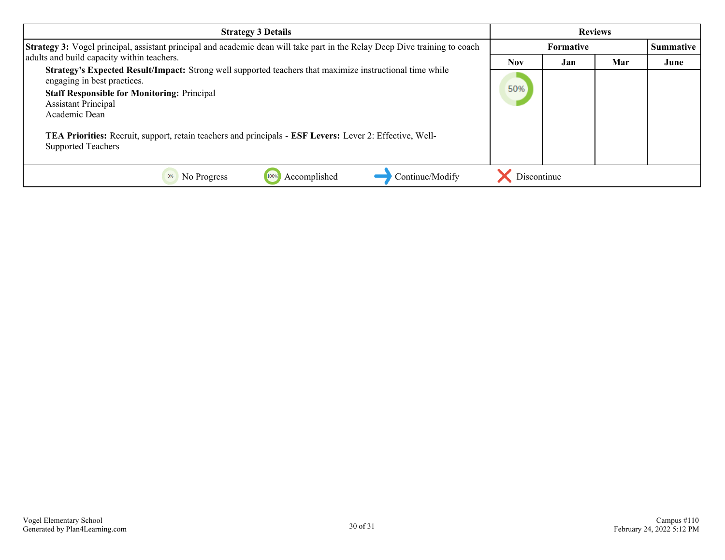| <b>Strategy 3 Details</b>                                                                                                                                                                                                                                                                                                                                                             | <b>Reviews</b> |           |     |           |
|---------------------------------------------------------------------------------------------------------------------------------------------------------------------------------------------------------------------------------------------------------------------------------------------------------------------------------------------------------------------------------------|----------------|-----------|-----|-----------|
| Strategy 3: Vogel principal, assistant principal and academic dean will take part in the Relay Deep Dive training to coach                                                                                                                                                                                                                                                            |                | Formative |     | Summative |
| adults and build capacity within teachers.                                                                                                                                                                                                                                                                                                                                            | <b>Nov</b>     | Jan       | Mar | June      |
| Strategy's Expected Result/Impact: Strong well supported teachers that maximize instructional time while<br>engaging in best practices.<br><b>Staff Responsible for Monitoring: Principal</b><br><b>Assistant Principal</b><br>Academic Dean<br>TEA Priorities: Recruit, support, retain teachers and principals - ESF Levers: Lever 2: Effective, Well-<br><b>Supported Teachers</b> | 50%            |           |     |           |
| Continue/Modify<br>Accomplished<br>0%<br>No Progress                                                                                                                                                                                                                                                                                                                                  | Discontinue    |           |     |           |